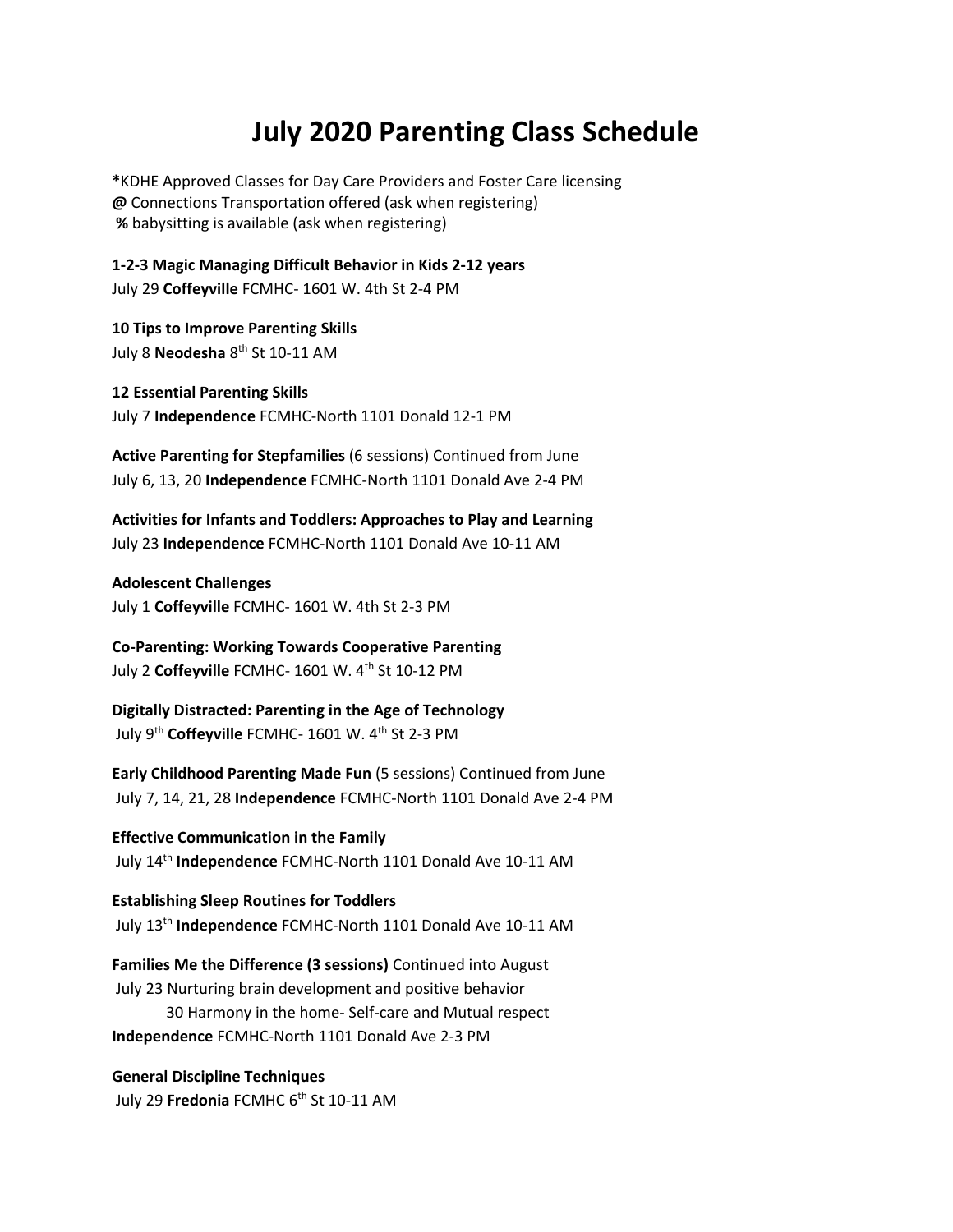## **July 2020 Parenting Class Schedule**

**\***KDHE Approved Classes for Day Care Providers and Foster Care licensing **@** Connections Transportation offered (ask when registering)  **%** babysitting is available (ask when registering)

**1-2-3 Magic Managing Difficult Behavior in Kids 2-12 years**  July 29 **Coffeyville** FCMHC- 1601 W. 4th St 2-4 PM

**10 Tips to Improve Parenting Skills** July 8 **Neodesha** 8th St 10-11 AM

**12 Essential Parenting Skills** July 7 **Independence** FCMHC-North 1101 Donald 12-1 PM

**Active Parenting for Stepfamilies** (6 sessions) Continued from June July 6, 13, 20 **Independence** FCMHC-North 1101 Donald Ave 2-4 PM

**Activities for Infants and Toddlers: Approaches to Play and Learning**  July 23 **Independence** FCMHC-North 1101 Donald Ave 10-11 AM

**Adolescent Challenges** July 1 **Coffeyville** FCMHC- 1601 W. 4th St 2-3 PM

**Co-Parenting: Working Towards Cooperative Parenting**  July 2 Coffeyville FCMHC- 1601 W. 4<sup>th</sup> St 10-12 PM

**Digitally Distracted: Parenting in the Age of Technology**  July 9<sup>th</sup> Coffeyville FCMHC- 1601 W. 4<sup>th</sup> St 2-3 PM

**Early Childhood Parenting Made Fun** (5 sessions) Continued from June July 7, 14, 21, 28 **Independence** FCMHC-North 1101 Donald Ave 2-4 PM

**Effective Communication in the Family**  July 14th **Independence** FCMHC-North 1101 Donald Ave 10-11 AM

**Establishing Sleep Routines for Toddlers**  July 13th **Independence** FCMHC-North 1101 Donald Ave 10-11 AM

**Families Me the Difference (3 sessions)** Continued into August July 23 Nurturing brain development and positive behavior 30 Harmony in the home- Self-care and Mutual respect **Independence** FCMHC-North 1101 Donald Ave 2-3 PM

**General Discipline Techniques**  July 29 **Fredonia** FCMHC 6<sup>th</sup> St 10-11 AM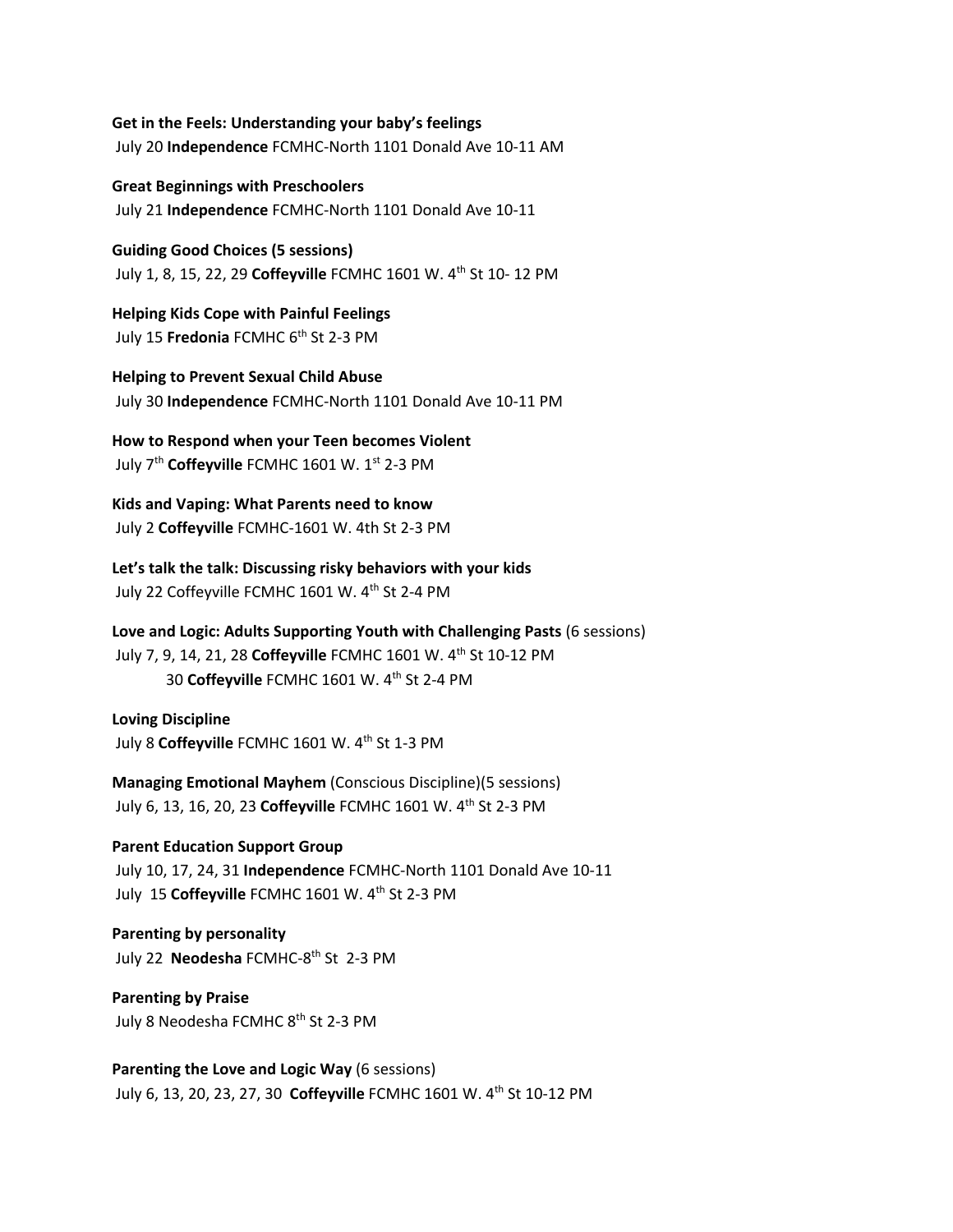**Get in the Feels: Understanding your baby's feelings**  July 20 **Independence** FCMHC-North 1101 Donald Ave 10-11 AM

**Great Beginnings with Preschoolers** July 21 **Independence** FCMHC-North 1101 Donald Ave 10-11

**Guiding Good Choices (5 sessions)** July 1, 8, 15, 22, 29 **Coffeyville** FCMHC 1601 W. 4th St 10- 12 PM

**Helping Kids Cope with Painful Feelings** July 15 **Fredonia** FCMHC 6<sup>th</sup> St 2-3 PM

**Helping to Prevent Sexual Child Abuse** July 30 **Independence** FCMHC-North 1101 Donald Ave 10-11 PM

**How to Respond when your Teen becomes Violent**  July 7<sup>th</sup> Coffeyville FCMHC 1601 W. 1<sup>st</sup> 2-3 PM

**Kids and Vaping: What Parents need to know** July 2 **Coffeyville** FCMHC-1601 W. 4th St 2-3 PM

**Let's talk the talk: Discussing risky behaviors with your kids**  July 22 Coffeyville FCMHC 1601 W. 4<sup>th</sup> St 2-4 PM

**Love and Logic: Adults Supporting Youth with Challenging Pasts** (6 sessions) July 7, 9, 14, 21, 28 **Coffeyville** FCMHC 1601 W. 4th St 10-12 PM 30 **Coffeyville** FCMHC 1601 W. 4th St 2-4 PM

**Loving Discipline** July 8 Coffeyville FCMHC 1601 W. 4<sup>th</sup> St 1-3 PM

**Managing Emotional Mayhem** (Conscious Discipline)(5 sessions) July 6, 13, 16, 20, 23 **Coffeyville** FCMHC 1601 W. 4th St 2-3 PM

## **Parent Education Support Group**

 July 10, 17, 24, 31 **Independence** FCMHC-North 1101 Donald Ave 10-11 July 15 Coffeyville FCMHC 1601 W. 4<sup>th</sup> St 2-3 PM

**Parenting by personality** July 22 **Neodesha** FCMHC-8<sup>th</sup> St 2-3 PM

**Parenting by Praise**  July 8 Neodesha FCMHC 8<sup>th</sup> St 2-3 PM

**Parenting the Love and Logic Way** (6 sessions) July 6, 13, 20, 23, 27, 30 **Coffeyville** FCMHC 1601 W. 4th St 10-12 PM